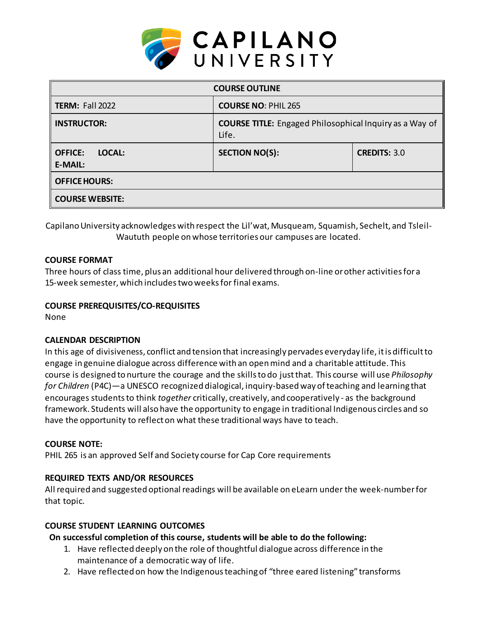

| <b>COURSE OUTLINE</b>                      |                                                                         |                     |  |  |  |
|--------------------------------------------|-------------------------------------------------------------------------|---------------------|--|--|--|
| <b>TERM: Fall 2022</b>                     | <b>COURSE NO: PHIL 265</b>                                              |                     |  |  |  |
| <b>INSTRUCTOR:</b>                         | <b>COURSE TITLE:</b> Engaged Philosophical Inquiry as a Way of<br>Life. |                     |  |  |  |
| <b>OFFICE:</b><br>LOCAL:<br><b>E-MAIL:</b> | <b>SECTION NO(S):</b>                                                   | <b>CREDITS: 3.0</b> |  |  |  |
| <b>OFFICE HOURS:</b>                       |                                                                         |                     |  |  |  |
| <b>COURSE WEBSITE:</b>                     |                                                                         |                     |  |  |  |

Capilano University acknowledges with respect the Lil'wat, Musqueam, Squamish, Sechelt, and Tsleil-Waututh people on whose territories our campuses are located.

### **COURSE FORMAT**

Three hours of class time, plus an additional hour delivered through on-line or other activities for a 15-week semester, which includes two weeks for final exams.

#### **COURSE PREREQUISITES/CO-REQUISITES**

None

# **CALENDAR DESCRIPTION**

In this age of divisiveness, conflict and tension that increasingly pervades everyday life, it is difficult to engage in genuine dialogue across difference with an open mind and a charitable attitude. This course is designed to nurture the courage and the skills to do just that. This course will use *Philosophy for Children* (P4C)—a UNESCO recognized dialogical, inquiry-based way of teaching and learning that encourages students to think *together* critically, creatively, and cooperatively - as the background framework. Students will also have the opportunity to engage in traditional Indigenous circles and so have the opportunity to reflect on what these traditional ways have to teach.

# **COURSE NOTE:**

PHIL 265 is an approved Self and Society course for Cap Core requirements

# **REQUIRED TEXTS AND/OR RESOURCES**

All required and suggested optional readings will be available on eLearn under the week-number for that topic.

# **COURSE STUDENT LEARNING OUTCOMES**

# **On successful completion of this course, students will be able to do the following:**

- 1. Have reflected deeply on the role of thoughtful dialogue across difference in the maintenance of a democratic way of life.
- 2. Have reflected on how the Indigenous teaching of "three eared listening" transforms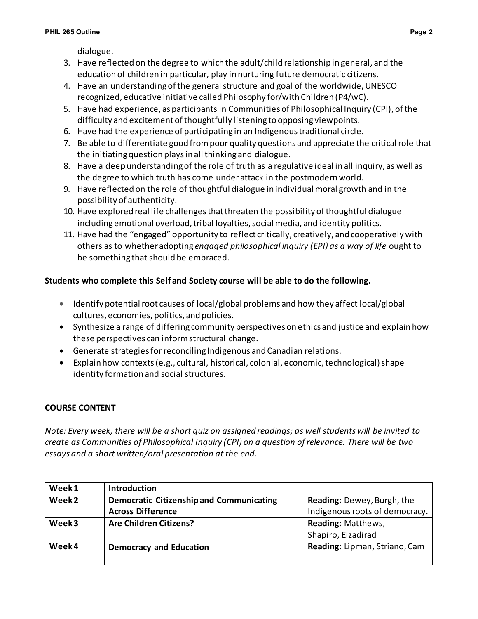dialogue.

- 3. Have reflected on the degree to which the adult/child relationship in general, and the education of children in particular, play in nurturing future democratic citizens.
- 4. Have an understanding of the general structure and goal of the worldwide, UNESCO recognized, educative initiative called Philosophy for/with Children (P4/wC).
- 5. Have had experience, as participants in Communities of Philosophical Inquiry (CPI), of the difficulty and excitement of thoughtfully listening to opposing viewpoints.
- 6. Have had the experience of participating in an Indigenoustraditional circle.
- 7. Be able to differentiate good from poor quality questions and appreciate the critical role that the initiating question plays in all thinking and dialogue.
- 8. Have a deep understanding of the role of truth as a regulative ideal in all inquiry, as well as the degree to which truth has come under attack in the postmodern world.
- 9. Have reflected on the role of thoughtful dialogue in individual moral growth and in the possibility of authenticity.
- 10. Have explored real life challenges that threaten the possibility of thoughtful dialogue including emotional overload, tribal loyalties, social media, and identity politics.
- 11. Have had the "engaged" opportunity to reflect critically, creatively, and cooperatively with others as to whether adopting *engaged philosophical inquiry (EPI) as a way of life* ought to be something that should be embraced.

# **Students who complete this Self and Society course will be able to do the following.**

- Identify potential root causes of local/global problems and how they affect local/global cultures, economies, politics, and policies.
- Synthesize a range of differing community perspectives on ethics and justice and explain how these perspectives can informstructural change.
- Generate strategies for reconciling Indigenous and Canadian relations.
- Explain how contexts (e.g., cultural, historical, colonial, economic, technological) shape identity formation and social structures.

# **COURSE CONTENT**

*Note: Every week, there will be a short quiz on assigned readings; as well students will be invited to create as Communities of Philosophical Inquiry (CPI) on a question of relevance. There will be two essays and a short written/oral presentation at the end.* 

| Week1             | <b>Introduction</b>                             |                                   |  |
|-------------------|-------------------------------------------------|-----------------------------------|--|
| Week <sub>2</sub> | <b>Democratic Citizenship and Communicating</b> | <b>Reading: Dewey, Burgh, the</b> |  |
|                   | <b>Across Difference</b>                        | Indigenous roots of democracy.    |  |
| Week <sub>3</sub> | <b>Are Children Citizens?</b>                   | Reading: Matthews,                |  |
|                   |                                                 | Shapiro, Eizadirad                |  |
| Week4             | <b>Democracy and Education</b>                  | Reading: Lipman, Striano, Cam     |  |
|                   |                                                 |                                   |  |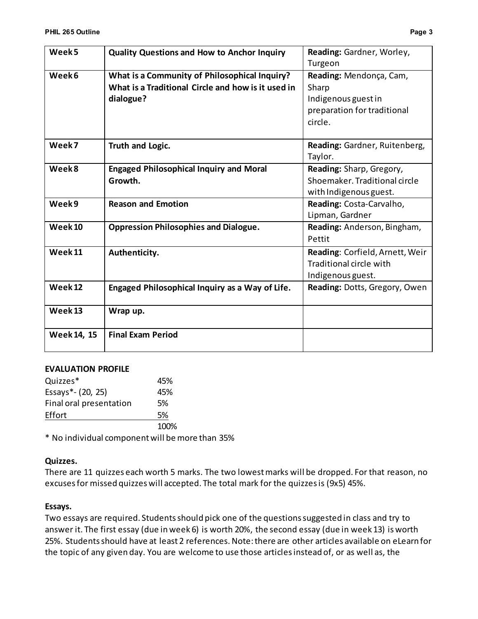| Week <sub>5</sub>  | <b>Quality Questions and How to Anchor Inquiry</b>                                                               | Reading: Gardner, Worley,<br>Turgeon                                                              |
|--------------------|------------------------------------------------------------------------------------------------------------------|---------------------------------------------------------------------------------------------------|
| Week6              | What is a Community of Philosophical Inquiry?<br>What is a Traditional Circle and how is it used in<br>dialogue? | Reading: Mendonça, Cam,<br>Sharp<br>Indigenous guest in<br>preparation for traditional<br>circle. |
| Week7              | Truth and Logic.                                                                                                 | Reading: Gardner, Ruitenberg,<br>Taylor.                                                          |
| Week8              | <b>Engaged Philosophical Inquiry and Moral</b><br>Growth.                                                        | Reading: Sharp, Gregory,<br>Shoemaker. Traditional circle<br>with Indigenous guest.               |
| Week9              | <b>Reason and Emotion</b>                                                                                        | Reading: Costa-Carvalho,<br>Lipman, Gardner                                                       |
| Week <sub>10</sub> | <b>Oppression Philosophies and Dialogue.</b>                                                                     | Reading: Anderson, Bingham,<br>Pettit                                                             |
| Week <sub>11</sub> | Authenticity.                                                                                                    | Reading: Corfield, Arnett, Weir<br>Traditional circle with<br>Indigenous guest.                   |
| Week <sub>12</sub> | Engaged Philosophical Inquiry as a Way of Life.                                                                  | Reading: Dotts, Gregory, Owen                                                                     |
| Week <sub>13</sub> | Wrap up.                                                                                                         |                                                                                                   |
| Week 14, 15        | <b>Final Exam Period</b>                                                                                         |                                                                                                   |

#### **EVALUATION PROFILE**

| Quizzes*                | 45%  |
|-------------------------|------|
| Essays*- (20, 25)       | 45%  |
| Final oral presentation | 5%   |
| Effort                  | 5%   |
|                         | 100% |

\* No individual component will be more than 35%

#### **Quizzes.**

There are 11 quizzes each worth 5 marks. The two lowest marks will be dropped. For that reason, no excuses for missed quizzes will accepted. The total mark for the quizzes is (9x5) 45%.

#### **Essays.**

Two essays are required. Students should pick one of the questions suggested in class and try to answer it. The first essay (due in week 6) is worth 20%, the second essay (due in week 13) is worth 25%. Students should have at least 2 references. Note: there are other articles available on eLearn for the topic of any given day. You are welcome to use those articles instead of, or as well as, the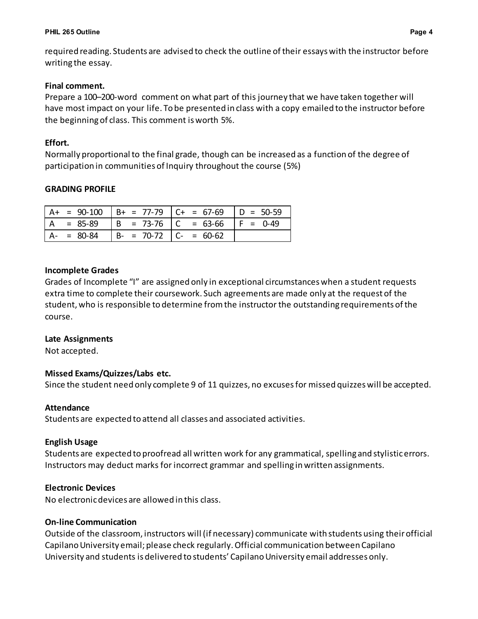#### **PHIL 265 Outline Page 4**

required reading. Students are advised to check the outline of their essays with the instructor before writing the essay.

#### **Final comment.**

Prepare a 100–200-word comment on what part of this journey that we have taken together will have most impact on your life. To be presented in class with a copy emailed to the instructor before the beginning of class. This comment is worth 5%.

#### **Effort.**

Normally proportional to the final grade, though can be increased as a function of the degree of participation in communities of Inquiry throughout the course (5%)

#### **GRADING PROFILE**

| $= 90-100$ | $\vert B+ = 77-79 \vert C+ = 67-69 \vert$ | $D = 50-59$ |
|------------|-------------------------------------------|-------------|
| $= 85-89$  | $  B = 73-76   C = 63-66$                 | $IF = 0-49$ |
| $= 80-84$  | $B - = 70-72$ $C - = 60-62$               |             |

### **Incomplete Grades**

Grades of Incomplete "I" are assigned only in exceptional circumstances when a student requests extra time to complete their coursework. Such agreements are made only at the request of the student, who is responsible to determine from the instructor the outstanding requirements of the course.

#### **Late Assignments**

Not accepted.

# **Missed Exams/Quizzes/Labs etc.**

Since the student need only complete 9 of 11 quizzes, no excuses for missed quizzes will be accepted.

#### **Attendance**

Students are expected to attend all classes and associated activities.

# **English Usage**

Students are expected to proofread all written work for any grammatical, spelling and stylistic errors. Instructors may deduct marks for incorrect grammar and spelling in written assignments.

# **Electronic Devices**

No electronic devices are allowed in this class.

# **On-line Communication**

Outside of the classroom, instructors will (if necessary) communicate with students using theirofficial Capilano University email; please check regularly. Official communication between Capilano University and students is delivered to students' Capilano University email addresses only.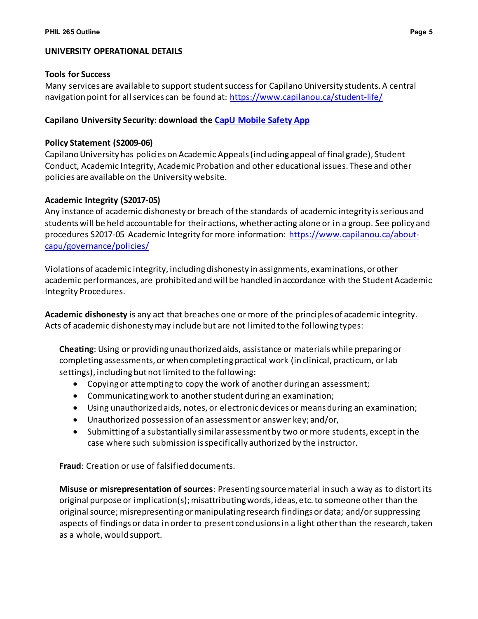### **UNIVERSITY OPERATIONAL DETAILS**

#### **Tools for Success**

Many services are available to support studentsuccess for Capilano University students. A central navigation point for all services can be found at:<https://www.capilanou.ca/student-life/>

### **Capilano University Security: download the [CapU Mobile Safety App](https://www.capilanou.ca/student-life/support--wellness/safety--security/capu-safe-app/)**

#### **Policy Statement (S2009-06)**

Capilano University has policies on Academic Appeals (including appeal of final grade), Student Conduct, Academic Integrity, Academic Probation and other educational issues. These and other policies are available on the University website.

#### **Academic Integrity (S2017-05)**

Any instance of academic dishonesty or breach of the standards of academic integrity is serious and students will be held accountable for their actions, whether acting alone or in a group. See policy and procedures S2017-05 Academic Integrity for more information: [https://www.capilanou.ca/about](https://www.capilanou.ca/about-capu/governance/policies/)[capu/governance/policies/](https://www.capilanou.ca/about-capu/governance/policies/)

Violations of academic integrity, including dishonesty in assignments, examinations, or other academic performances, are prohibited and will be handled in accordance with the Student Academic Integrity Procedures.

**Academic dishonesty** is any act that breaches one or more of the principles of academic integrity. Acts of academic dishonesty may include but are not limited to the following types:

**Cheating**: Using or providing unauthorized aids, assistance or materials while preparing or completing assessments, or when completing practical work (in clinical, practicum, or lab settings), including but not limited to the following:

- Copying or attempting to copy the work of another during an assessment;
- Communicating work to another student during an examination;
- Using unauthorized aids, notes, or electronic devices or means during an examination;
- Unauthorized possession of an assessment or answer key; and/or,
- Submitting of a substantially similar assessment by two or more students, except in the case where such submission is specifically authorized by the instructor.

**Fraud**: Creation or use of falsified documents.

**Misuse or misrepresentation of sources**: Presenting source material in such a way as to distort its original purpose or implication(s); misattributing words, ideas, etc. to someone other than the original source; misrepresenting or manipulating research findings or data; and/or suppressing aspects of findings or data in order to present conclusions in a light other than the research, taken as a whole, would support.